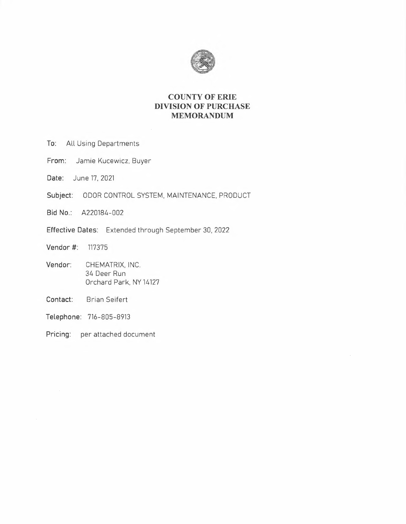

# **COUNTY OF ERIE DIVISION OF PURCHASE MEMORANDUM**

- **To:** All Using Departments
- **From:** Jamie Kucewicz, Buyer
- **Date:** June 17, 2021
- **Subject:** ODOR CONTROL SYSTEM, MAINTENANCE, PRODUCT
- **Bid No.:** A220184-002
- **Effective Dates:** Extended through September 30, 2022
- **Vendor#:** <sup>117375</sup>
- **Vendor:** CHEMATRIX, INC. 34 Deer Run Orchard Park, NY 14127
- **Contact:** Brian Seifert
- **Telephone:** 716-805-8913
- **Pricing:** per attached document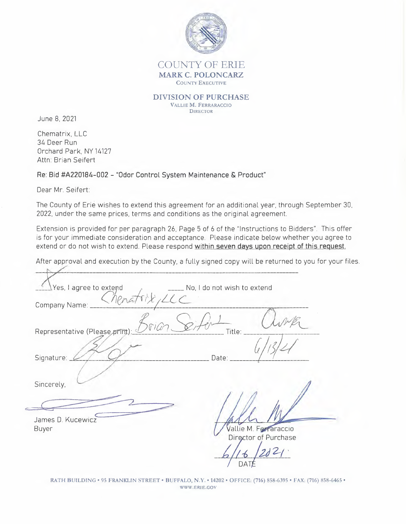

## COUNTY OF ERIE **MARK C. POLONCARZ**  COUNTY EXECUTIVE

**DIVISION OF PURCHASE**  VALLIE **M.** FERRARACCIO **DIRECTOR** 

June 8, 2021

Chematrix, LLC 34 Deer Run Orchard Park, NY 14127 Attn: Brian Seifert

**Re: Bid #A220184-002 - "Odor Control System Maintenance & Product"** 

Dear Mr. Seifert:

The County of Erie wishes to extend this agreement for an additional year, through September 30, 2022, under the same prices, terms and conditions as the original agreement.

Extension is provided for per paragraph 26, Page 5 of 6 of the "Instructions to Bidders". This offer is for your immediate consideration and acceptance. Please indicate below whether you agree to extend or do not wish to extend. Please respond **within seven days upon receipt of this request.** 

After approval and execution by the County, a fully signed copy will be returned to you for your files.

Yes, I agree to extend  $\frac{1}{2}$  **No, I do not wish to extend** No. 1 agree to extend<br>Company Name: **Alexandre Company Name:** Representative (Please print):  $\frac{\mathcal{S}(\hat{r}, \hat{\theta}) - \mathcal{S}(\hat{r}, \hat{\theta})}{\text{Title}}$  *[itle: LUMP*<br>Signature: 2000 ate: *[i]* Sincerely,  $\frac{Cner(\text{Please print})}{\text{Priesseprint}}$ James D. Kucewicz EXERCISE SPIEL SURVEY ON A SEVENTION SOFTING SEVENTION SEVENTION SEVENTION SEVENTION SEVENTION SEVENTION SEVENTION SEVENTION SEVENTION SEX POSITION SEVENTION SEVENTION SEVENTION SERVICE Buyer  $\frac{1}{1}$ allie M. Ferraraccio Director of Purchase *Director of Purchase*<br>*b* // 6 / 202/<br>*A* // DATE DATE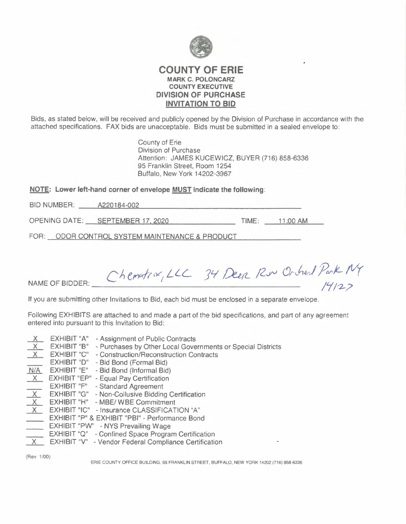

## **COUNTY OF ERIE MARK C. POLONCARZ COUNTY EXECUTIVE DIVISION OF PURCHASE INVITATION TO BID**

Bids, as stated below, will be received and publicly opened by the Division of Purchase in accordance with the attached specifications. FAX bids are unacceptable. Bids must be submitted in a sealed envelope to:

> County of Erie **Division of Purchase** Attention: JAMES KUCEWICZ, BUYER (716) 858-6336 95 Franklin Street, Room 1254 Buffalo, New York 14202-3967

NOTE: Lower left-hand corner of envelope MUST indicate the following:

BID NUMBER: A220184-002

OPENING DATE: SEPTEMBER 17, 2020 TIME: 11:00 AM

FOR: ODOR CONTROL SYSTEM MAINTENANCE & PRODUCT

Chematin, LLC 34 Deep Rue Orchard Park MY

NAME OF BIDDER:

If you are submitting other Invitations to Bid, each bid must be enclosed in a separate envelope.

Following EXHIBITS are attached to and made a part of the bid specifications, and part of any agreement entered into pursuant to this Invitation to Bid:

- **EXHIBIT "A"** Assignment of Public Contracts X  $X$  EXHIBIT "B" - Purchases by Other Local Governments or Special Districts X EXHIBIT "C" - Construction/Reconstruction Contracts EXHIBIT "D" - Bid Bond (Formal Bid) N/A EXHIBIT "E" - Bid Bond (Informal Bid)  $\times$ **EXHIBIT "EP"** - Equal Pay Certification **EXHIBIT "F"** - Standard Agreement  $X$ **EXHIBIT "G"** - Non-Collusive Bidding Certification X EXHIBIT "H" - MBE/ WBE Commitment X EXHIBIT "IC" - Insurance CLASSIFICATION "A" **EXHIBIT "P" & EXHIBIT "PBI" - Performance Bond** EXHIBIT "PW" - NYS Prevailing Wage<br>EXHIBIT "Q" - Confined Space Program Certification
- X EXHIBIT "V" Vendor Federal Compliance Certification

(Rev. 1/00)

ERIE COUNTY OFFICE BUILDING, 95 FRANKLIN STREET, BUFFALO, NEW YORK 14202 (716) 858-6336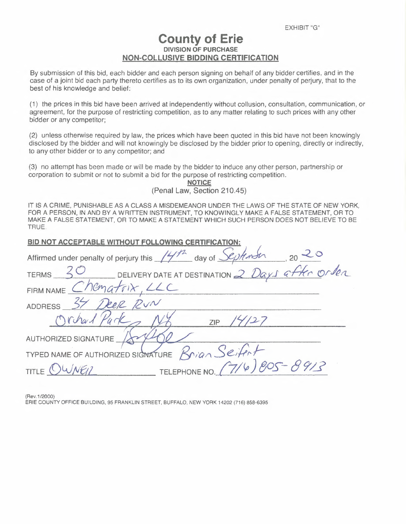# **County of Erie DIVISION OF PURCHASE NON-COLLUSIVE BIDDING CERTIFICATION**

By submission of this bid, each bidder and each person signing on behalf of any bidder certifies, and in the case of a joint bid each party thereto certifies as to its own organization, under penalty of perjury, that to the best of his knowledge and belief:

(1) the prices in this bid have been arrived at independently without collusion, consultation, communication, or agreement, for the purpose of restricting competition, as to any matter relating to such prices with any other bidder or any competitor;

(2) unless otherwise required by law, the prices which have been quoted in this bid have not been knowingly disclosed by the bidder and will not knowingly be disclosed by the bidder prior to opening, directly or indirectly, to any other bidder or to any competitor; and

(3) no attempt has been made or will be made by the bidder to induce any other person, partnership or corporation to submit or not to submit a bid for the purpose of restricting competition.

**NOTICE**  (Penal Law, Section 210.45)

IT IS A CRIME, PUNISHABLE AS A CLASS A MISDEMEANOR UNDER THE LAWS OF THE STATE OF NEW YORK, FOR A PERSON, IN AND BY A WRITTEN INSTRUMENT, TO KNOWINGLY MAKE A FALSE STATEMENT, OR TO MAKE A FALSE STATEMENT, OR TO MAKE A STATEMENT WHICH SUCH PERSON DOES NOT BELIEVE TO BE TRUE.

| <b>BID NOT ACCEPTABLE WITHOUT FOLLOWING CERTIFICATION:</b>                                           |
|------------------------------------------------------------------------------------------------------|
| Affirmed under penalty of perjury this $\frac{147h}{4}$ day of $\frac{\sqrt{20h}}{\sqrt{2}}$ , 20 20 |
| TERMS 30 DELIVERY DATE AT DESTINATION 2 Days after order                                             |
| FIRM NAME Chematrix, LLC                                                                             |
| ADDRESS 37 Deep RUN                                                                                  |
| Orhad Park<br>ZIP                                                                                    |
| AUTHORIZED SIGNATURE                                                                                 |
| TYPED NAME OF AUTHORIZED SIGNATURE $\beta$ rian Seifert                                              |
| TELEPHONE NO. $(7/6)805 - 89/3$<br>TITLE $O$                                                         |
|                                                                                                      |

(Rev.1 /2000)

ERIE COUNTY OFFICE BUILDING, 95 FRANKLIN STREET, BUFFALO, NEW YORK 14202 (716) 858-6395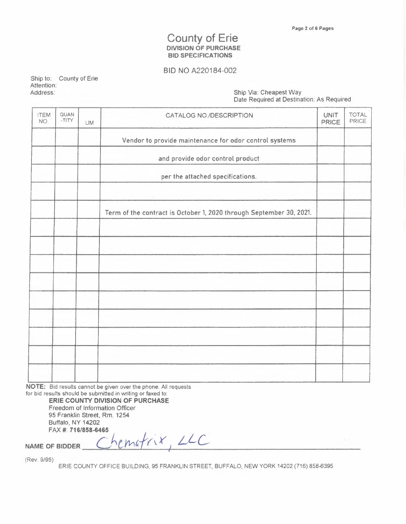# County of Erie **DIVISION OF PURCHASE BID SPECIFICATIONS**

## BID NO A220184-002

Ship to: County of Erie Attention: Address: Ship Via: Cheapest Way

Date Required at Destination: As Required

| <b>ITEM</b><br>NO. | QUAN<br>-TITY | UM | CATALOG NO./DESCRIPTION                                             | <b>UNIT</b><br><b>PRICE</b> | TOTAL<br>PRICE |
|--------------------|---------------|----|---------------------------------------------------------------------|-----------------------------|----------------|
|                    |               |    | Vendor to provide maintenance for odor control systems              |                             |                |
|                    |               |    | and provide odor control product                                    |                             |                |
|                    |               |    | per the attached specifications.                                    |                             |                |
|                    |               |    | <b>Alberta Controller</b>                                           |                             |                |
|                    |               |    | Term of the contract is October 1, 2020 through September 30, 2021. |                             |                |
|                    |               |    |                                                                     |                             |                |
|                    |               |    |                                                                     |                             |                |
|                    |               |    |                                                                     |                             |                |
|                    |               |    |                                                                     |                             |                |
|                    |               |    |                                                                     |                             |                |
|                    |               |    |                                                                     |                             |                |
|                    |               |    |                                                                     |                             |                |
|                    |               |    | $\sim$                                                              |                             |                |
|                    |               |    |                                                                     |                             |                |

**NOTE:** Bid results cannot be given over the phone. All requests for bid results should be submitted in writing or faxed to:

> **ERIE COUNTY DIVISION OF PURCHASE**  Freedom of Information Officer 95 Franklin street, Rm. 1254 Buffalo, NY 14202 FAX#: **716/858-6465**

NAME OF BIDDER Chematrix, LLC I

(Rev. 9/95)

ERIE COUNTY OFFICE BUILDING, 95 FRANKLIN STREET, BUFFALO, NEW YORK 14202 (716) 858-6395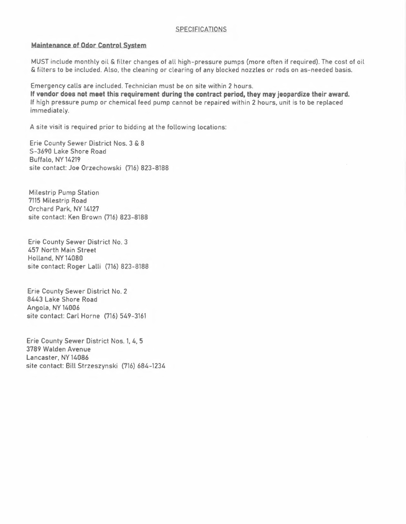#### **SPECIFICATIONS**

#### **Maintenance of Odor Control System**

MUST include monthly oil & filter changes of all high-pressure pumps (more often if required). The cost of oil & filters to be included. Also, the cleaning or clearing of any blocked nozzles or rods on as-needed basis.

Emergency calls are included. Technician must be on site within 2 hours. If **vendor does not meet this requirement during the contract period, they may jeopardize their award.**  If high pressure pump or chemical feed pump cannot be repaired within 2 hours, unit is to be replaced immediately.

A site visit is required prior to bidding at the following locations:

Erie County Sewer District Nos. 3 & 8 S-3690 Lake Shore Road Buffalo, NY 14219 · site contact: Joe Orzechowski (716) 823-8188

Milestrip Pump Station 7115 Milestrip Road Orchard Park, NY 14127 site contact: Ken Brown (716) 823-8188

Erie County Sewer District No. 3 457 North Main Street Holland,NY14080 site contact: Roger Lalli (716) 823-8188

Erie County Sewer District No. 2 8443 Lake Shore Road Angola, NY 14006 site contact: Carl Horne (716) 549-3161

Erie County Sewer District Nos. 1, 4, 5 3789 Walden Avenue Lancaster, NY 14086 site contact: Bill Strzeszynski (716) 684-1234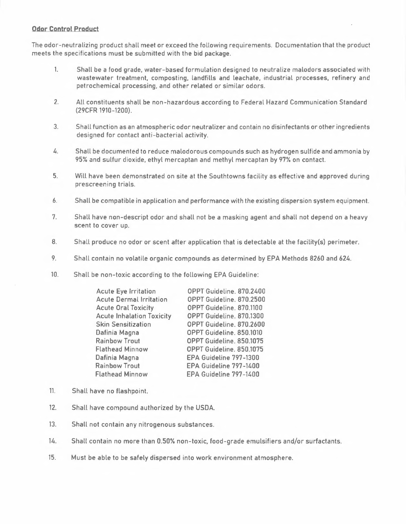## **Odor Control Product**

The odor-neutralizing product shall meet or exceed the following requirements. Documentation that the product meets the specifications must be submitted with the bid package.

- 1. Shall be a food grade, water-based formulation designed to neutralize malodors associated with wastewater treatment, composting. Landfills and leachate, industrial processes, refinery and petrochemical processing, and other related or similar odors.
- 2. All constituents shall be non-hazardous according to Federal Hazard Communication Standard (29CFR 1910-1200).
- 3. Shall function as an atmospheric odor neutralizer and contain no disinfectants or other ingredients designed for contact anti-bacterial activity.
- 4. Shall be documented to reduce malodorous compounds such as hydrogen sulfide and ammonia by 95% and sulfur dioxide, ethyl mercaptan and methyl mercaptan by 97% on contact.
- 5. Will have been demonstrated on site at the Southtowns facility as effective and approved during prescreening trials.
- 6. Shall be compatible in application and performance with the existing dispersion system equipment.
- 7. Shall have non-descript odor and shall not be a masking agent and shall not depend on a heavy scent to cover up.
- 8. Shall produce no odor or scent after application that is detectable at the facility(s) perimeter.
- 9. Shall contain no volatile organic compounds as determined by EPA Methods 8260 and 624.
- 10. Shall be non-toxic according to the following EPA Guideline:

| OPPT Guideline. 870.2400 |
|--------------------------|
| OPPT Guideline. 870.2500 |
| OPPT Guideline. 870.1100 |
| OPPT Guideline. 870.1300 |
| OPPT Guideline. 870.2600 |
| OPPT Guideline. 850.1010 |
| OPPT Guideline. 850.1075 |
| OPPT Guideline. 850,1075 |
| EPA Guideline 797-1300   |
| EPA Guideline 797-1400   |
| EPA Guideline 797-1400   |
|                          |

- 11. Shall have no flashpoint.
- 12. Shall have compound authorized by the USDA.
- 13. Shall not contain any nitrogenous substances.
- 14. Shall contain no more than 0.50% non-toxic, food-grade emulsifiers and/or surfactants.
- 15. Must be able to be safely dispersed into work environment atmosphere.